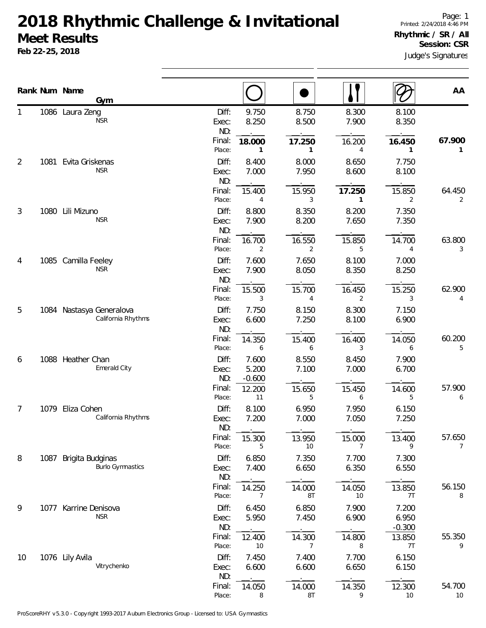## **2018 Rhythmic Challenge & Invitational Meet Results**

**Feb 22-25, 2018**

|                |      | Rank Num Name<br>Gym                           |                                 |                            |                      |                                |                            | AA                       |
|----------------|------|------------------------------------------------|---------------------------------|----------------------------|----------------------|--------------------------------|----------------------------|--------------------------|
|                |      | 1086 Laura Zeng<br><b>NSR</b>                  | Diff:<br>Exec:<br>ND:           | 9.750<br>8.250             | 8.750<br>8.500       | 8.300<br>7.900                 | 8.100<br>8.350             |                          |
| $\overline{2}$ | 1081 | Evita Griskenas                                | Final:<br>Place:<br>Diff:       | 18.000<br>1<br>8.400       | 17.250<br>1<br>8.000 | 16.200<br>4<br>8.650           | 16.450<br>1<br>7.750       | 67.900<br>1              |
|                |      | <b>NSR</b>                                     | Exec:<br>ND:<br>Final:          | 7.000<br>15.400            | 7.950<br>15.950      | 8.600<br>17.250                | 8.100<br>15.850            | 64.450                   |
| 3              | 1080 | Lili Mizuno<br><b>NSR</b>                      | Place:<br>Diff:<br>Exec:<br>ND: | 4<br>8.800<br>7.900        | 3<br>8.350<br>8.200  | $\mathbf{1}$<br>8.200<br>7.650 | 2<br>7.350<br>7.350        | 2                        |
|                |      |                                                | Final:<br>Place:                | 16.700<br>2                | 16.550<br>2          | 15.850<br>5                    | 14.700<br>4                | 63.800<br>3              |
| 4              |      | 1085 Camilla Feeley<br><b>NSR</b>              | Diff:<br>Exec:<br>ND:           | 7.600<br>7.900             | 7.650<br>8.050       | 8.100<br>8.350                 | 7.000<br>8.250             |                          |
|                |      |                                                | Final:<br>Place:                | 15.500<br>3                | 15.700<br>4          | 16.450<br>$\overline{2}$       | 15.250<br>3                | 62.900<br>4              |
| 5              |      | 1084 Nastasya Generalova<br>California Rhythms | Diff:<br>Exec:<br>ND:           | 7.750<br>6.600             | 8.150<br>7.250       | 8.300<br>8.100                 | 7.150<br>6.900             |                          |
|                |      |                                                | Final:<br>Place:                | 14.350<br>6                | 15.400<br>6          | 16.400<br>3                    | 14.050<br>6                | 60.200<br>5              |
| 6              |      | 1088 Heather Chan<br>Emerald City              | Diff:<br>Exec:<br>ND:           | 7.600<br>5.200<br>$-0.600$ | 8.550<br>7.100       | 8.450<br>7.000                 | 7.900<br>6.700             |                          |
|                |      |                                                | Final:<br>Place:                | 12.200<br>11               | 15.650<br>5          | 15.450<br>6                    | 14.600<br>5                | 57.900<br>6              |
| 7              | 1079 | Eliza Cohen<br>California Rhythms              | Diff:<br>Exec:<br>ND:           | 8.100<br>7.200             | 6.950<br>7.000       | 7.950<br>7.050                 | 6.150<br>7.250             |                          |
|                |      |                                                | Final:<br>Place:                | 15.300<br>5                | 13.950<br>10         | 15.000<br>7                    | 13.400<br>9                | 57.650<br>$\overline{7}$ |
| 8              | 1087 | Brigita Budginas<br><b>Burlo Gymnastics</b>    | Diff:<br>Exec:<br>ND:           | 6.850<br>7.400             | 7.350<br>6.650       | 7.700<br>6.350                 | 7.300<br>6.550             |                          |
|                |      |                                                | Final:<br>Place:                | 14.250<br>7                | 14.000<br>8T         | 14.050<br>10                   | 13.850<br>7T               | 56.150<br>8              |
| 9              |      | 1077 Karrine Denisova<br><b>NSR</b>            | Diff:<br>Exec:<br>ND:           | 6.450<br>5.950             | 6.850<br>7.450       | 7.900<br>6.900                 | 7.200<br>6.950<br>$-0.300$ |                          |
|                |      |                                                | Final:<br>Place:                | 12.400<br>10               | 14.300<br>7          | 14.800<br>8                    | 13.850<br>7T               | 55.350<br>9              |
| 10             |      | 1076 Lily Avila<br>Vitrychenko                 | Diff:<br>Exec:<br>ND:           | 7.450<br>6.600             | 7.400<br>6.600       | 7.700<br>6.650                 | 6.150<br>6.150             |                          |
|                |      |                                                | Final:<br>Place:                | 14.050<br>8                | 14.000<br>8T         | 14.350<br>9                    | 12.300<br>$10$             | 54.700<br>10             |